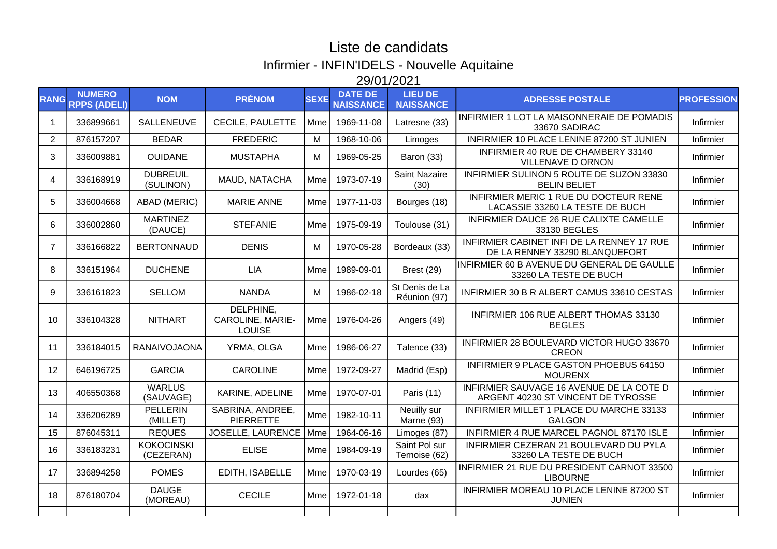## Liste de candidats Infirmier - INFIN'IDELS - Nouvelle Aquitaine 29/01/2021

| <b>RANG</b>    | <b>NUMERO</b><br><b>RPPS (ADELI)</b> | <b>NOM</b>                     | <b>PRÉNOM</b>                                         | <b>SEXE</b> | <b>DATE DE</b><br><b>NAISSANCE</b> | <b>LIEU DE</b><br><b>NAISSANCE</b> | <b>ADRESSE POSTALE</b>                                                         | <b>PROFESSION</b> |
|----------------|--------------------------------------|--------------------------------|-------------------------------------------------------|-------------|------------------------------------|------------------------------------|--------------------------------------------------------------------------------|-------------------|
| -1             | 336899661                            | SALLENEUVE                     | <b>CECILE, PAULETTE</b>                               | Mme         | 1969-11-08                         | Latresne (33)                      | INFIRMIER 1 LOT LA MAISONNERAIE DE POMADIS<br>33670 SADIRAC                    | Infirmier         |
| $\overline{2}$ | 876157207                            | <b>BEDAR</b>                   | <b>FREDERIC</b>                                       | M           | 1968-10-06                         | Limoges                            | INFIRMIER 10 PLACE LENINE 87200 ST JUNIEN                                      | Infirmier         |
| 3              | 336009881                            | <b>OUIDANE</b>                 | <b>MUSTAPHA</b>                                       | М           | 1969-05-25                         | Baron (33)                         | INFIRMIER 40 RUE DE CHAMBERY 33140<br><b>VILLENAVE D ORNON</b>                 | Infirmier         |
| 4              | 336168919                            | <b>DUBREUIL</b><br>(SULINON)   | MAUD, NATACHA                                         | Mme         | 1973-07-19                         | <b>Saint Nazaire</b><br>(30)       | INFIRMIER SULINON 5 ROUTE DE SUZON 33830<br><b>BELIN BELIET</b>                | Infirmier         |
| 5              | 336004668                            | <b>ABAD (MERIC)</b>            | <b>MARIE ANNE</b>                                     | Mme         | 1977-11-03                         | Bourges (18)                       | INFIRMIER MERIC 1 RUE DU DOCTEUR RENE<br>LACASSIE 33260 LA TESTE DE BUCH       | Infirmier         |
| 6              | 336002860                            | <b>MARTINEZ</b><br>(DAUCE)     | <b>STEFANIE</b>                                       | Mme         | 1975-09-19                         | Toulouse (31)                      | INFIRMIER DAUCE 26 RUE CALIXTE CAMELLE<br>33130 BEGLES                         | Infirmier         |
| $\overline{7}$ | 336166822                            | <b>BERTONNAUD</b>              | <b>DENIS</b>                                          | M           | 1970-05-28                         | Bordeaux (33)                      | INFIRMIER CABINET INFI DE LA RENNEY 17 RUE<br>DE LA RENNEY 33290 BLANQUEFORT   | Infirmier         |
| 8              | 336151964                            | <b>DUCHENE</b>                 | <b>LIA</b>                                            | Mme         | 1989-09-01                         | Brest (29)                         | INFIRMIER 60 B AVENUE DU GENERAL DE GAULLE<br>33260 LA TESTE DE BUCH           | Infirmier         |
| 9              | 336161823                            | <b>SELLOM</b>                  | <b>NANDA</b>                                          | М           | 1986-02-18                         | St Denis de La<br>Réunion (97)     | INFIRMIER 30 B R ALBERT CAMUS 33610 CESTAS                                     | Infirmier         |
| 10             | 336104328                            | <b>NITHART</b>                 | DELPHINE,<br><b>CAROLINE, MARIE-</b><br><b>LOUISE</b> | Mme         | 1976-04-26                         | Angers (49)                        | INFIRMIER 106 RUE ALBERT THOMAS 33130<br><b>BEGLES</b>                         | Infirmier         |
| 11             | 336184015                            | <b>RANAIVOJAONA</b>            | YRMA, OLGA                                            | Mme         | 1986-06-27                         | Talence (33)                       | INFIRMIER 28 BOULEVARD VICTOR HUGO 33670<br><b>CREON</b>                       | Infirmier         |
| 12             | 646196725                            | <b>GARCIA</b>                  | <b>CAROLINE</b>                                       | Mme         | 1972-09-27                         | Madrid (Esp)                       | INFIRMIER 9 PLACE GASTON PHOEBUS 64150<br><b>MOURENX</b>                       | Infirmier         |
| 13             | 406550368                            | <b>WARLUS</b><br>(SAUVAGE)     | KARINE, ADELINE                                       | Mme         | 1970-07-01                         | Paris (11)                         | INFIRMIER SAUVAGE 16 AVENUE DE LA COTE D<br>ARGENT 40230 ST VINCENT DE TYROSSE | Infirmier         |
| 14             | 336206289                            | <b>PELLERIN</b><br>(MILLET)    | SABRINA, ANDREE,<br><b>PIERRETTE</b>                  | Mme         | 1982-10-11                         | Neuilly sur<br>Marne (93)          | INFIRMIER MILLET 1 PLACE DU MARCHE 33133<br><b>GALGON</b>                      | Infirmier         |
| 15             | 876045311                            | <b>REQUES</b>                  | JOSELLE, LAURENCE                                     | Mme         | 1964-06-16                         | Limoges (87)                       | INFIRMIER 4 RUE MARCEL PAGNOL 87170 ISLE                                       | Infirmier         |
| 16             | 336183231                            | <b>KOKOCINSKI</b><br>(CEZERAN) | <b>ELISE</b>                                          | Mme         | 1984-09-19                         | Saint Pol sur<br>Ternoise (62)     | INFIRMIER CEZERAN 21 BOULEVARD DU PYLA<br>33260 LA TESTE DE BUCH               | Infirmier         |
| 17             | 336894258                            | <b>POMES</b>                   | EDITH, ISABELLE                                       | Mme         | 1970-03-19                         | Lourdes (65)                       | INFIRMIER 21 RUE DU PRESIDENT CARNOT 33500<br><b>LIBOURNE</b>                  | Infirmier         |
| 18             | 876180704                            | <b>DAUGE</b><br>(MOREAU)       | <b>CECILE</b>                                         | Mme         | 1972-01-18                         | dax                                | INFIRMIER MOREAU 10 PLACE LENINE 87200 ST<br><b>JUNIEN</b>                     | Infirmier         |
|                |                                      |                                |                                                       |             |                                    |                                    |                                                                                |                   |